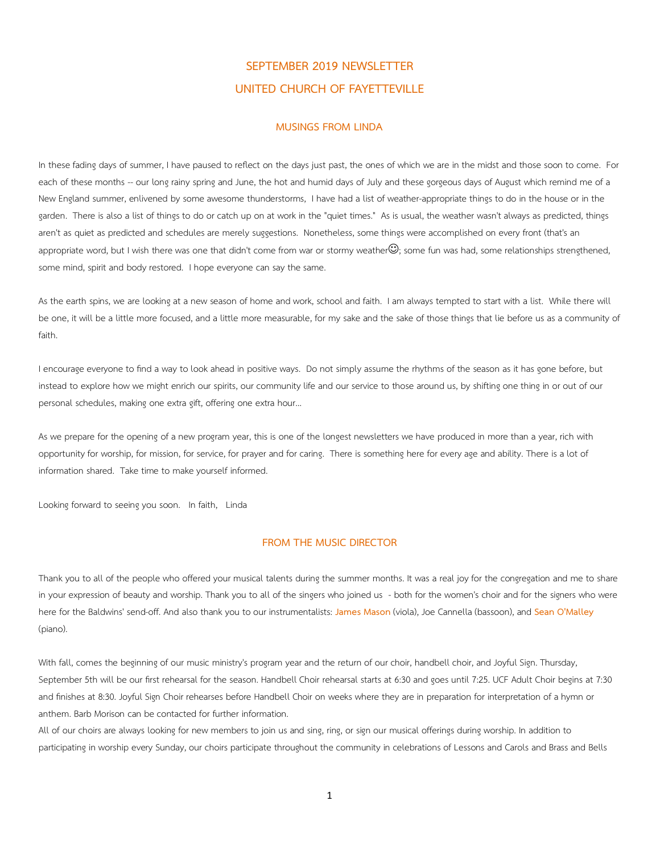## **SEPTEMBER 2019 NEWSLETTER UNITED CHURCH OF FAYETTEVILLE**

## **MUSINGS FROM LINDA**

In these fading days of summer, I have paused to reflect on the days just past, the ones of which we are in the midst and those soon to come. For each of these months -- our long rainy spring and June, the hot and humid days of July and these gorgeous days of August which remind me of a New England summer, enlivened by some awesome thunderstorms, I have had a list of weather-appropriate things to do in the house or in the garden. There is also a list of things to do or catch up on at work in the "quiet times." As is usual, the weather wasn't always as predicted, things aren't as quiet as predicted and schedules are merely suggestions. Nonetheless, some things were accomplished on every front (that's an appropriate word, but I wish there was one that didn't come from war or stormy weather $\mathbb{O}$ ; some fun was had, some relationships strengthened, some mind, spirit and body restored. I hope everyone can say the same.

As the earth spins, we are looking at a new season of home and work, school and faith. I am always tempted to start with a list. While there will be one, it will be a little more focused, and a little more measurable, for my sake and the sake of those things that lie before us as a community of faith.

I encourage everyone to find a way to look ahead in positive ways. Do not simply assume the rhythms of the season as it has gone before, but instead to explore how we might enrich our spirits, our community life and our service to those around us, by shifting one thing in or out of our personal schedules, making one extra gift, offering one extra hour…

As we prepare for the opening of a new program year, this is one of the longest newsletters we have produced in more than a year, rich with opportunity for worship, for mission, for service, for prayer and for caring. There is something here for every age and ability. There is a lot of information shared. Take time to make yourself informed.

Looking forward to seeing you soon. In faith, Linda

## **FROM THE MUSIC DIRECTOR**

Thank you to all of the people who offered your musical talents during the summer months. It was a real joy for the congregation and me to share in your expression of beauty and worship. Thank you to all of the singers who joined us - both for the women's choir and for the signers who were here for the Baldwins' send-off. And also thank you to our instrumentalists: **James Mason** (viola), Joe Cannella (bassoon), and **Sean O'Malley** (piano).

With fall, comes the beginning of our music ministry's program year and the return of our choir, handbell choir, and Joyful Sign. Thursday, September 5th will be our first rehearsal for the season. Handbell Choir rehearsal starts at 6:30 and goes until 7:25. UCF Adult Choir begins at 7:30 and finishes at 8:30. Joyful Sign Choir rehearses before Handbell Choir on weeks where they are in preparation for interpretation of a hymn or anthem. Barb Morison can be contacted for further information.

All of our choirs are always looking for new members to join us and sing, ring, or sign our musical offerings during worship. In addition to participating in worship every Sunday, our choirs participate throughout the community in celebrations of Lessons and Carols and Brass and Bells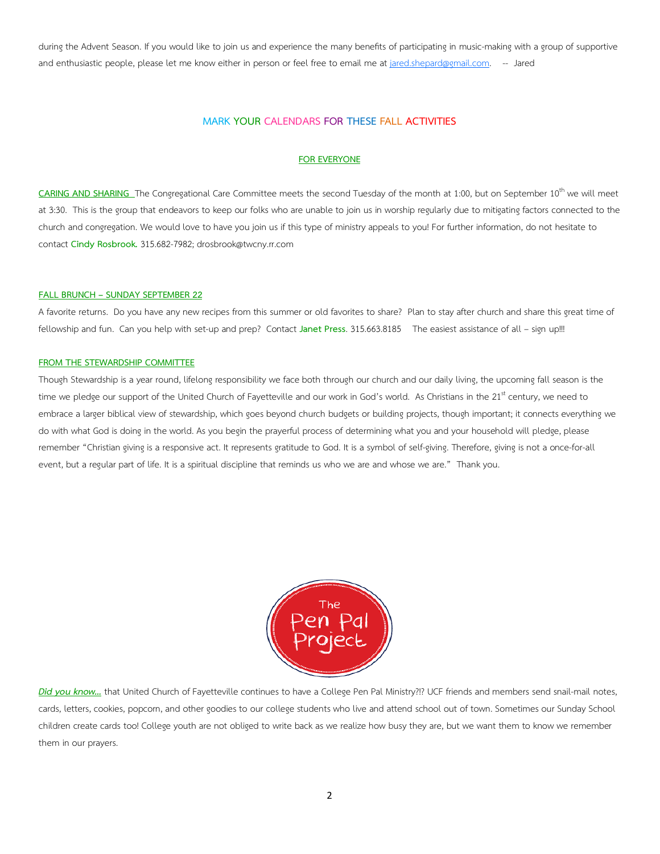during the Advent Season. If you would like to join us and experience the many benefits of participating in music-making with a group of supportive and enthusiastic people, please let me know either in person or feel free to email me at jared.shepard@gmail.com. -- Jared

## **MARK YOUR CALENDARS FOR THESE FALL ACTIVITIES**

## **FOR EVERYONE**

**CARING AND SHARING** The Congregational Care Committee meets the second Tuesday of the month at 1:00, but on September 10<sup>th</sup> we will meet at 3:30. This is the group that endeavors to keep our folks who are unable to join us in worship regularly due to mitigating factors connected to the church and congregation. We would love to have you join us if this type of ministry appeals to you! For further information, do not hesitate to contact **Cindy Rosbrook.** 315.682-7982; drosbrook@twcny.rr.com

#### **FALL BRUNCH – SUNDAY SEPTEMBER 22**

A favorite returns. Do you have any new recipes from this summer or old favorites to share? Plan to stay after church and share this great time of fellowship and fun. Can you help with set-up and prep? Contact **Janet Press**. 315.663.8185 The easiest assistance of all – sign up!!!

#### **FROM THE STEWARDSHIP COMMITTEE**

Though Stewardship is a year round, lifelong responsibility we face both through our church and our daily living, the upcoming fall season is the time we pledge our support of the United Church of Fayetteville and our work in God's world. As Christians in the 21<sup>st</sup> century, we need to embrace a larger biblical view of stewardship, which goes beyond church budgets or building projects, though important; it connects everything we do with what God is doing in the world. As you begin the prayerful process of determining what you and your household will pledge, please remember "Christian giving is a responsive act. It represents gratitude to God. It is a symbol of self-giving. Therefore, giving is not a once-for-all event, but a regular part of life. It is a spiritual discipline that reminds us who we are and whose we are." Thank you.



*Did you know…* that United Church of Fayetteville continues to have a College Pen Pal Ministry?!? UCF friends and members send snail-mail notes, cards, letters, cookies, popcorn, and other goodies to our college students who live and attend school out of town. Sometimes our Sunday School children create cards too! College youth are not obliged to write back as we realize how busy they are, but we want them to know we remember them in our prayers.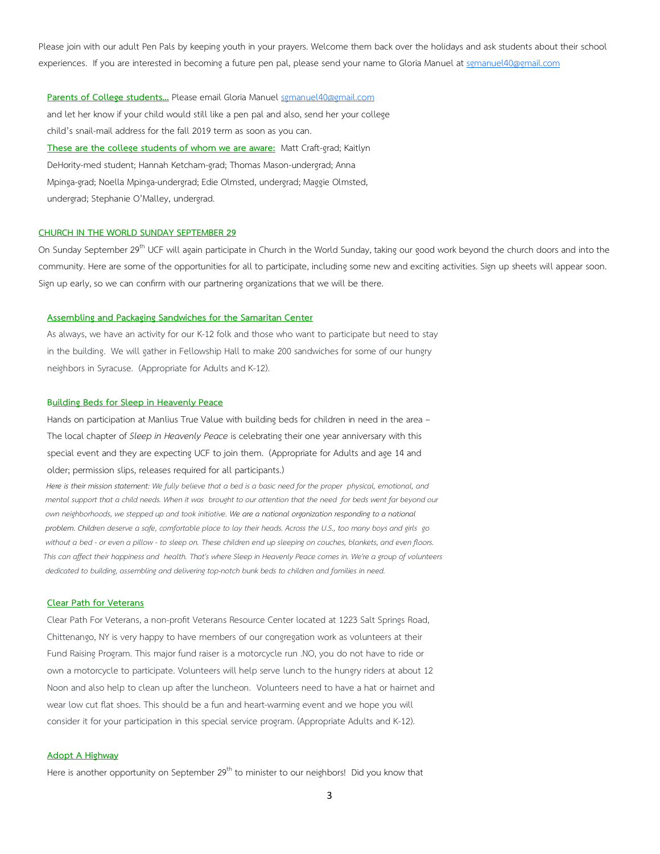Please join with our adult Pen Pals by keeping youth in your prayers. Welcome them back over the holidays and ask students about their school experiences. If you are interested in becoming a future pen pal, please send your name to Gloria Manuel at sgmanuel40@gmail.com

Parents of College students... Please email Gloria Manuel sgmanuel40@gmail.com and let her know if your child would still like a pen pal and also, send her your college child's snail-mail address for the fall 2019 term as soon as you can.  **These are the college students of whom we are aware:** Matt Craft-grad; Kaitlyn DeHority-med student; Hannah Ketcham-grad; Thomas Mason-undergrad; Anna Mpinga-grad; Noella Mpinga-undergrad; Edie Olmsted, undergrad; Maggie Olmsted, undergrad; Stephanie O'Malley, undergrad.

## **CHURCH IN THE WORLD SUNDAY SEPTEMBER 29**

On Sunday September 29<sup>th</sup> UCF will again participate in Church in the World Sunday, taking our good work beyond the church doors and into the community. Here are some of the opportunities for all to participate, including some new and exciting activities. Sign up sheets will appear soon. Sign up early, so we can confirm with our partnering organizations that we will be there.

#### **Assembling and Packaging Sandwiches for the Samaritan Center**

 As always, we have an activity for our K-12 folk and those who want to participate but need to stay in the building. We will gather in Fellowship Hall to make 200 sandwiches for some of our hungry neighbors in Syracuse. (Appropriate for Adults and K-12).

## **Building Beds for Sleep in Heavenly Peace**

 Hands on participation at Manlius True Value with building beds for children in need in the area – The local chapter of *Sleep in Heavenly Peace* is celebrating their one year anniversary with this special event and they are expecting UCF to join them. (Appropriate for Adults and age 14 and older; permission slips, releases required for all participants.)

 *Here is their mission statement: We fully believe that a bed is a basic need for the proper physical, emotional, and* mental support that a child needs. When it was brought to our attention that the need for beds went far beyond our  *own neighborhoods, we stepped up and took initiative. We are a national organization responding to a national problem. Children deserve a safe, comfortable place to lay their heads. Across the U.S., too many boys and girls go without a bed -or even a pillow - to sleep on. These children end up sleeping on couches, blankets, and even floors. This can affect their happiness and health. That's where Sleep in Heavenly Peace comes in. We're a group of volunteers*  dedicated to building, assembling and delivering top-notch bunk beds to children and families in need.

#### **Clear Path for Veterans**

 Clear Path For Veterans, a non-profit Veterans Resource Center located at 1223 Salt Springs Road, Chittenango, NY is very happy to have members of our congregation work as volunteers at their Fund Raising Program. This major fund raiser is a motorcycle run .NO, you do not have to ride or own a motorcycle to participate. Volunteers will help serve lunch to the hungry riders at about 12 Noon and also help to clean up after the luncheon. Volunteers need to have a hat or hairnet and wear low cut flat shoes. This should be a fun and heart-warming event and we hope you will consider it for your participation in this special service program. (Appropriate Adults and K-12).

## **Adopt A Highway**

Here is another opportunity on September 29<sup>th</sup> to minister to our neighbors! Did you know that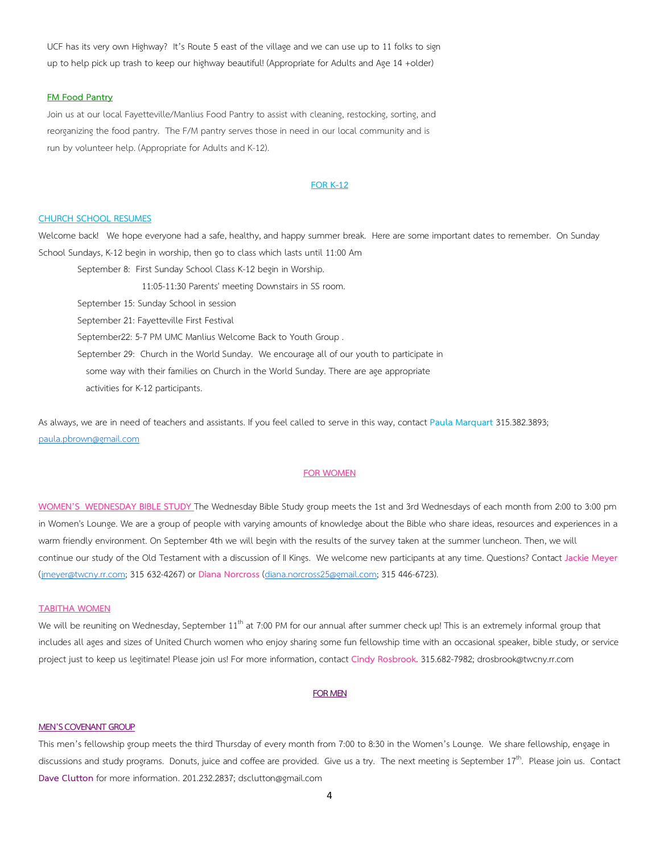UCF has its very own Highway? It's Route 5 east of the village and we can use up to 11 folks to sign up to help pick up trash to keep our highway beautiful! (Appropriate for Adults and Age 14 +older)

#### **FM Food Pantry**

 Join us at our local Fayetteville/Manlius Food Pantry to assist with cleaning, restocking, sorting, and reorganizing the food pantry. The F/M pantry serves those in need in our local community and is run by volunteer help. (Appropriate for Adults and K-12).

#### **FOR K-12**

## **CHURCH SCHOOL RESUMES**

Welcome back! We hope everyone had a safe, healthy, and happy summer break. Here are some important dates to remember. On Sunday School Sundays, K-12 begin in worship, then go to class which lasts until 11:00 Am

September 8: First Sunday School Class K-12 begin in Worship.

11:05-11:30 Parents' meeting Downstairs in SS room.

September 15: Sunday School in session

September 21: Fayetteville First Festival

September22: 5-7 PM UMC Manlius Welcome Back to Youth Group .

September 29: Church in the World Sunday. We encourage all of our youth to participate in some way with their families on Church in the World Sunday. There are age appropriate

activities for K-12 participants.

As always, we are in need of teachers and assistants. If you feel called to serve in this way, contact **Paula Marquart** 315.382.3893; paula.pbrown@gmail.com

## **FOR WOMEN**

**WOMEN'S WEDNESDAY BIBLE STUDY** The Wednesday Bible Study group meets the 1st and 3rd Wednesdays of each month from 2:00 to 3:00 pm in Women's Lounge. We are a group of people with varying amounts of knowledge about the Bible who share ideas, resources and experiences in a warm friendly environment. On September 4th we will begin with the results of the survey taken at the summer luncheon. Then, we will continue our study of the Old Testament with a discussion of II Kings. We welcome new participants at any time. Questions? Contact **Jackie Meyer** (jmeyer@twcny.rr.com; 315 632-4267) or **Diana Norcross** (diana.norcross25@gmail.com; 315 446-6723).

#### **TABITHA WOMEN**

We will be reuniting on Wednesday, September 11<sup>th</sup> at 7:00 PM for our annual after summer check up! This is an extremely informal group that includes all ages and sizes of United Church women who enjoy sharing some fun fellowship time with an occasional speaker, bible study, or service project just to keep us legitimate! Please join us! For more information, contact **Cindy Rosbrook.** 315.682-7982; drosbrook@twcny.rr.com

## **FOR MEN**

#### **MEN'S COVENANT GROUP**

This men's fellowship group meets the third Thursday of every month from 7:00 to 8:30 in the Women's Lounge. We share fellowship, engage in discussions and study programs. Donuts, juice and coffee are provided. Give us a try. The next meeting is September 17<sup>th</sup>. Please join us. Contact **Dave Clutton** for more information. 201.232.2837; dsclutton@gmail.com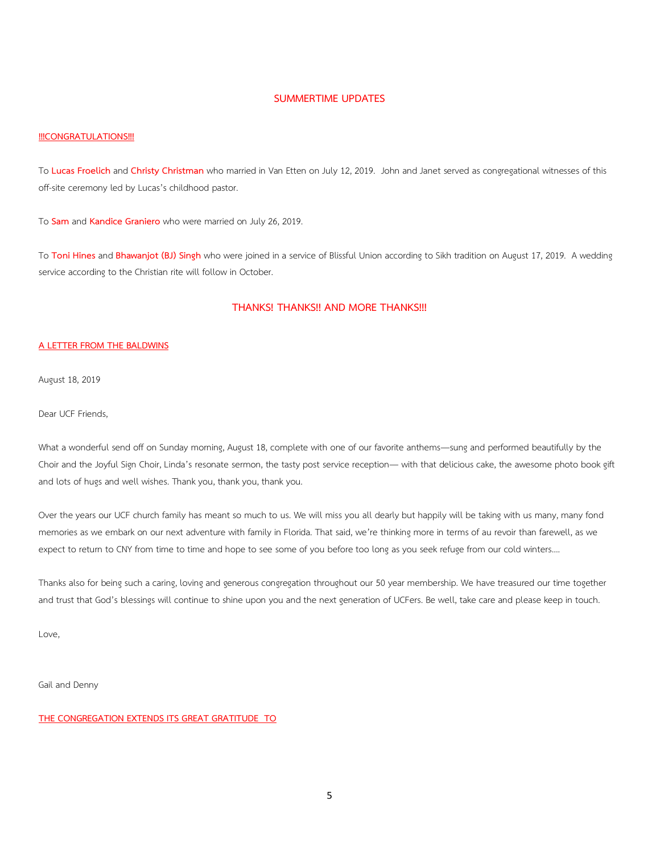## **SUMMERTIME UPDATES**

#### **!!!CONGRATULATIONS!!!**

To **Lucas Froelich** and **Christy Christman** who married in Van Etten on July 12, 2019. John and Janet served as congregational witnesses of this off-site ceremony led by Lucas's childhood pastor.

To **Sam** and **Kandice Graniero** who were married on July 26, 2019.

To **Toni Hines** and **Bhawanjot (BJ) Singh** who were joined in a service of Blissful Union according to Sikh tradition on August 17, 2019. A wedding service according to the Christian rite will follow in October.

## **THANKS! THANKS!! AND MORE THANKS!!!**

## **A LETTER FROM THE BALDWINS**

August 18, 2019

Dear UCF Friends,

What a wonderful send off on Sunday morning, August 18, complete with one of our favorite anthems—sung and performed beautifully by the Choir and the Joyful Sign Choir, Linda's resonate sermon, the tasty post service reception— with that delicious cake, the awesome photo book gift and lots of hugs and well wishes. Thank you, thank you, thank you.

Over the years our UCF church family has meant so much to us. We will miss you all dearly but happily will be taking with us many, many fond memories as we embark on our next adventure with family in Florida. That said, we're thinking more in terms of au revoir than farewell, as we expect to return to CNY from time to time and hope to see some of you before too long as you seek refuge from our cold winters….

Thanks also for being such a caring, loving and generous congregation throughout our 50 year membership. We have treasured our time together and trust that God's blessings will continue to shine upon you and the next generation of UCFers. Be well, take care and please keep in touch.

Love,

Gail and Denny

## **THE CONGREGATION EXTENDS ITS GREAT GRATITUDE TO**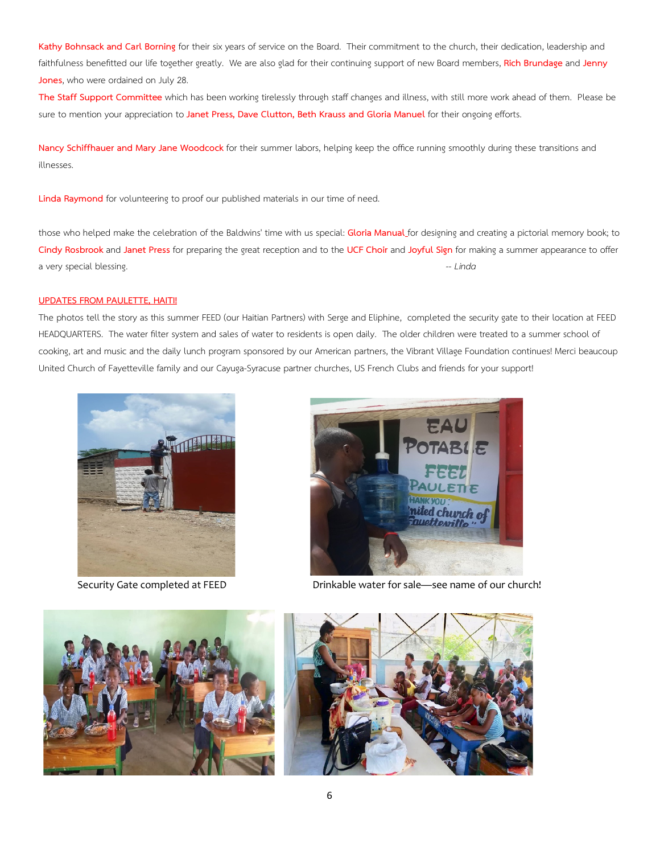**Kathy Bohnsack and Carl Borning** for their six years of service on the Board. Their commitment to the church, their dedication, leadership and faithfulness benefitted our life together greatly. We are also glad for their continuing support of new Board members, **Rich Brundage** and **Jenny Jones**, who were ordained on July 28.

**The Staff Support Committee** which has been working tirelessly through staff changes and illness, with still more work ahead of them. Please be sure to mention your appreciation to **Janet Press, Dave Clutton, Beth Krauss and Gloria Manuel** for their ongoing efforts.

**Nancy Schiffhauer and Mary Jane Woodcock** for their summer labors, helping keep the office running smoothly during these transitions and illnesses.

**Linda Raymond** for volunteering to proof our published materials in our time of need.

those who helped make the celebration of the Baldwins' time with us special: **Gloria Manual** for designing and creating a pictorial memory book; to **Cindy Rosbrook** and **Janet Press** for preparing the great reception and to the **UCF Choir** and **Joyful Sign** for making a summer appearance to offer a very special blessing. *-- Linda*

## **UPDATES FROM PAULETTE, HAITI!**

The photos tell the story as this summer FEED (our Haitian Partners) with Serge and Eliphine, completed the security gate to their location at FEED HEADQUARTERS. The water filter system and sales of water to residents is open daily. The older children were treated to a summer school of cooking, art and music and the daily lunch program sponsored by our American partners, the Vibrant Village Foundation continues! Merci beaucoup United Church of Fayetteville family and our Cayuga-Syracuse partner churches, US French Clubs and friends for your support!





Security Gate completed at FEED Drinkable water for sale—see name of our church!



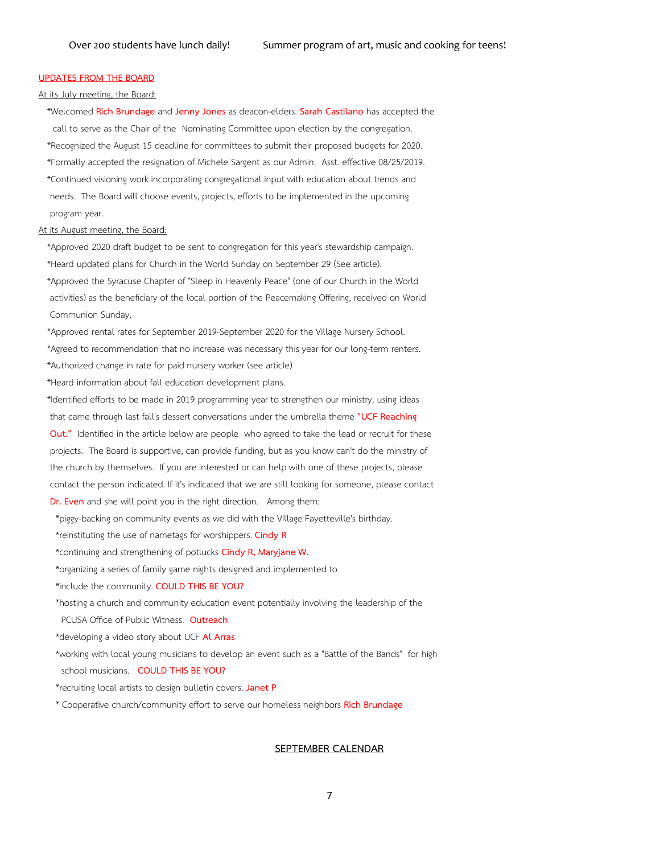## **UPDATES FROM THE BOARD**

#### At its July meeting, the Board:

 \*Welcomed **Rich Brundage** and **Jenny Jones** as deacon-elders. **Sarah Castilano** has accepted the call to serve as the Chair of the Nominating Committee upon election by the congregation. \*Recognized the August 15 deadline for committees to submit their proposed budgets for 2020. \*Formally accepted the resignation of Michele Sargent as our Admin. Asst. effective 08/25/2019. \*Continued visioning work incorporating congregational input with education about trends and needs. The Board will choose events, projects, efforts to be implemented in the upcoming program year.

#### At its August meeting, the Board:

 \*Approved 2020 draft budget to be sent to congregation for this year's stewardship campaign. \*Heard updated plans for Church in the World Sunday on September 29 (See article). \*Approved the Syracuse Chapter of "Sleep in Heavenly Peace" (one of our Church in the World activities) as the beneficiary of the local portion of the Peacemaking Offering, received on World Communion Sunday.

 \*Approved rental rates for September 2019-September 2020 for the Village Nursery School. \*Agreed to recommendation that no increase was necessary this year for our long-term renters.

\*Authorized change in rate for paid nursery worker (see article)

\*Heard information about fall education development plans.

 \*Identified efforts to be made in 2019 programming year to strengthen our ministry, using ideas that came through last fall's dessert conversations under the umbrella theme **"UCF Reaching Out."** Identified in the article below are people who agreed to take the lead or recruit for these projects. The Board is supportive, can provide funding, but as you know can't do the ministry of the church by themselves. If you are interested or can help with one of these projects, please contact the person indicated. If it's indicated that we are still looking for someone, please contact **Dr. Even** and she will point you in the right direction. Among them:

\*piggy-backing on community events as we did with the Village Fayetteville's birthday.

\*reinstituting the use of nametags for worshippers. **Cindy R**

\*continuing and strengthening of potlucks **Cindy R, Maryjane W.**

\*organizing a series of family game nights designed and implemented to

\*include the community. **COULD THIS BE YOU?**

\*hosting a church and community education event potentially involving the leadership of the

PCUSA Office of Public Witness. **Outreach**

\*developing a video story about UCF **Al Arras**

 \*working with local young musicians to develop an event such as a "Battle of the Bands" for high school musicians. **COULD THIS BE YOU?**

\*recruiting local artists to design bulletin covers. **Janet P**

\* Cooperative church/community effort to serve our homeless neighbors **Rich Brundage**

#### **SEPTEMBER CALENDAR**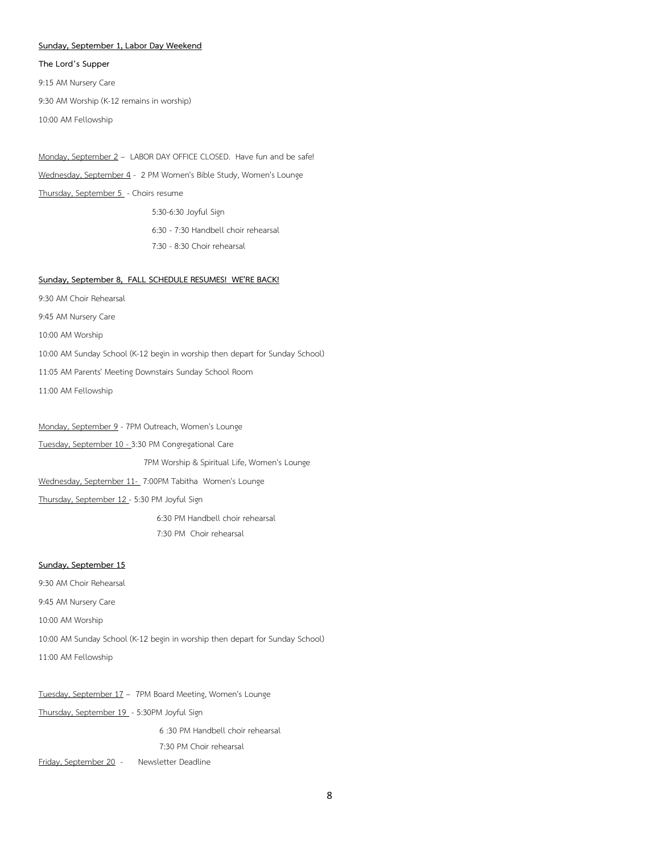#### **Sunday, September 1, Labor Day Weekend**

**The Lord's Supper** 

9:15 AM Nursery Care

9:30 AM Worship (K-12 remains in worship)

10:00 AM Fellowship

Monday, September 2 – LABOR DAY OFFICE CLOSED. Have fun and be safe! Wednesday, September 4 - 2 PM Women's Bible Study, Women's Lounge Thursday, September 5 - Choirs resume 5:30-6:30 Joyful Sign 6:30 - 7:30 Handbell choir rehearsal

7:30 - 8:30 Choir rehearsal

#### **Sunday, September 8, FALL SCHEDULE RESUMES! WE'RE BACK!**

9:30 AM Choir Rehearsal

9:45 AM Nursery Care

10:00 AM Worship

10:00 AM Sunday School (K-12 begin in worship then depart for Sunday School)

11:05 AM Parents' Meeting Downstairs Sunday School Room

11:00 AM Fellowship

Monday, September 9 - 7PM Outreach, Women's Lounge Tuesday, September 10 - 3:30 PM Congregational Care 7PM Worship & Spiritual Life, Women's Lounge Wednesday, September 11- 7:00PM Tabitha Women's Lounge Thursday, September 12 - 5:30 PM Joyful Sign 6:30 PM Handbell choir rehearsal 7:30 PM Choir rehearsal

## **Sunday, September 15**

9:30 AM Choir Rehearsal 9:45 AM Nursery Care 10:00 AM Worship 10:00 AM Sunday School (K-12 begin in worship then depart for Sunday School) 11:00 AM Fellowship

Tuesday, September 17 – 7PM Board Meeting, Women's Lounge

Thursday, September 19 - 5:30PM Joyful Sign

6 :30 PM Handbell choir rehearsal

## 7:30 PM Choir rehearsal

Friday, September 20 - Newsletter Deadline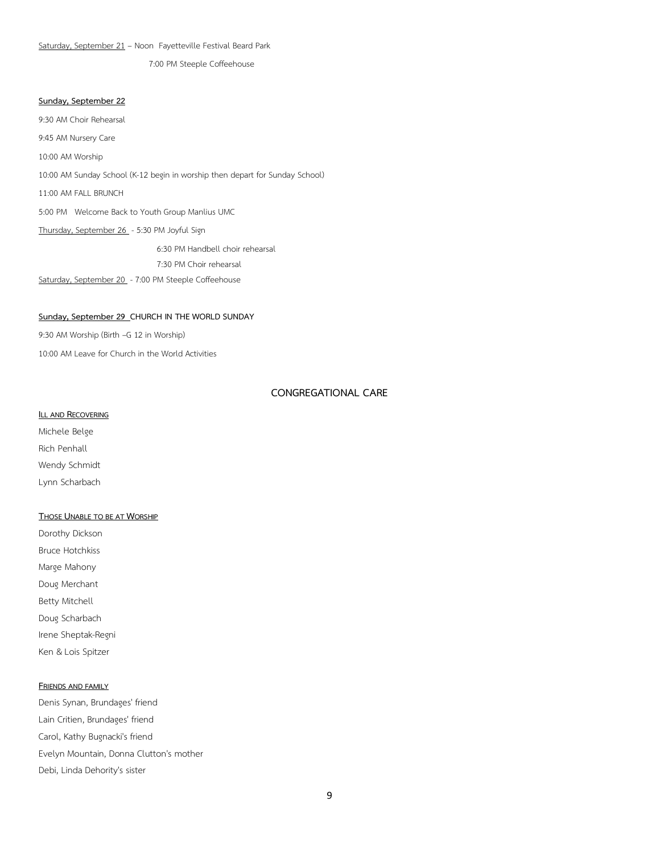Saturday, September 21 – Noon Fayetteville Festival Beard Park

7:00 PM Steeple Coffeehouse

## **Sunday, September 22**

9:30 AM Choir Rehearsal 9:45 AM Nursery Care 10:00 AM Worship 10:00 AM Sunday School (K-12 begin in worship then depart for Sunday School) 11:00 AM FALL BRUNCH 5:00 PM Welcome Back to Youth Group Manlius UMC Thursday, September 26 - 5:30 PM Joyful Sign 6:30 PM Handbell choir rehearsal 7:30 PM Choir rehearsal

Saturday, September 20 - 7:00 PM Steeple Coffeehouse

## **Sunday, September 29 CHURCH IN THE WORLD SUNDAY**

9:30 AM Worship (Birth –G 12 in Worship)

10:00 AM Leave for Church in the World Activities

## **CONGREGATIONAL CARE**

## **ILL AND RECOVERING**

Michele Belge Rich Penhall Wendy Schmidt Lynn Scharbach

## **THOSE UNABLE TO BE AT WORSHIP**

Dorothy Dickson Bruce Hotchkiss Marge Mahony Doug Merchant Betty Mitchell Doug Scharbach Irene Sheptak-Regni Ken & Lois Spitzer

## **FRIENDS AND FAMILY**

Denis Synan, Brundages' friend Lain Critien, Brundages' friend Carol, Kathy Bugnacki's friend Evelyn Mountain, Donna Clutton's mother Debi, Linda Dehority's sister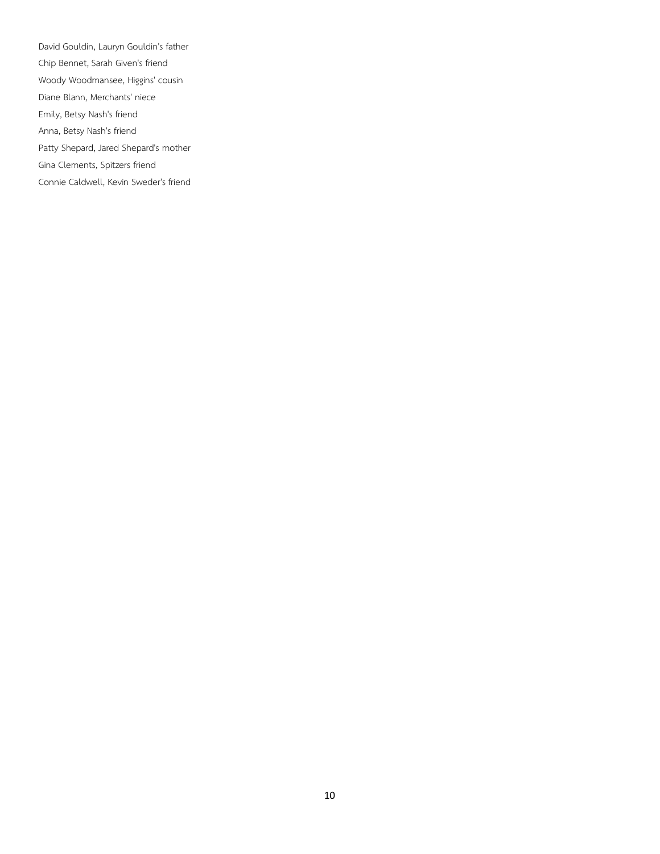David Gouldin, Lauryn Gouldin's father Chip Bennet, Sarah Given's friend Woody Woodmansee, Higgins' cousin Diane Blann, Merchants' niece Emily, Betsy Nash's friend Anna, Betsy Nash's friend Patty Shepard, Jared Shepard's mother Gina Clements, Spitzers friend Connie Caldwell, Kevin Sweder's friend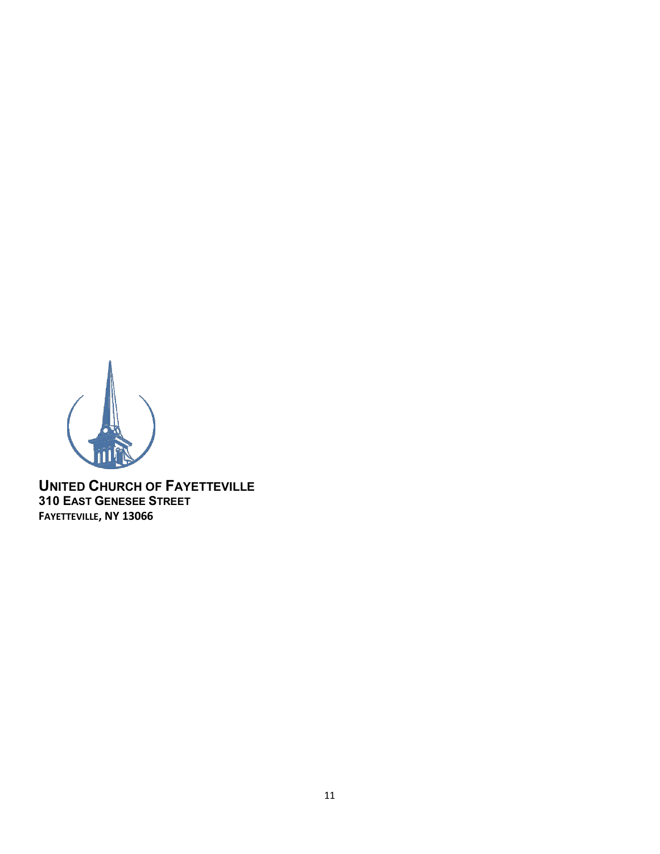

**UNITED CHURCH OF FAYETTEVILLE 310 EAST GENESEE STREET FAYETTEVILLE, NY 13066**